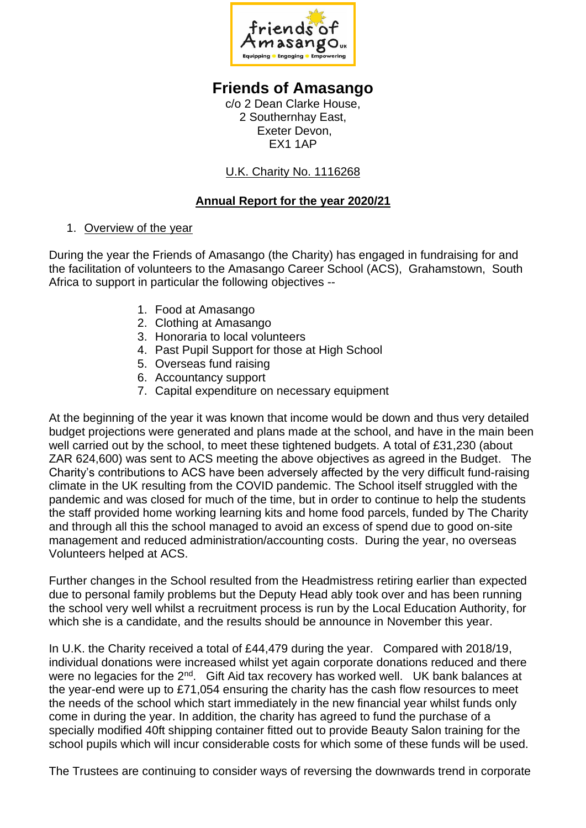

## **Friends of Amasango**

c/o 2 Dean Clarke House, 2 Southernhay East, Exeter Devon, EX1 1AP

U.K. Charity No. 1116268

## **Annual Report for the year 2020/21**

## 1. Overview of the year

During the year the Friends of Amasango (the Charity) has engaged in fundraising for and the facilitation of volunteers to the Amasango Career School (ACS), Grahamstown, South Africa to support in particular the following objectives --

- 1. Food at Amasango
- 2. Clothing at Amasango
- 3. Honoraria to local volunteers
- 4. Past Pupil Support for those at High School
- 5. Overseas fund raising
- 6. Accountancy support
- 7. Capital expenditure on necessary equipment

At the beginning of the year it was known that income would be down and thus very detailed budget projections were generated and plans made at the school, and have in the main been well carried out by the school, to meet these tightened budgets. A total of £31,230 (about ZAR 624,600) was sent to ACS meeting the above objectives as agreed in the Budget. The Charity's contributions to ACS have been adversely affected by the very difficult fund-raising climate in the UK resulting from the COVID pandemic. The School itself struggled with the pandemic and was closed for much of the time, but in order to continue to help the students the staff provided home working learning kits and home food parcels, funded by The Charity and through all this the school managed to avoid an excess of spend due to good on-site management and reduced administration/accounting costs. During the year, no overseas Volunteers helped at ACS.

Further changes in the School resulted from the Headmistress retiring earlier than expected due to personal family problems but the Deputy Head ably took over and has been running the school very well whilst a recruitment process is run by the Local Education Authority, for which she is a candidate, and the results should be announce in November this year.

In U.K. the Charity received a total of £44,479 during the year. Compared with 2018/19, individual donations were increased whilst yet again corporate donations reduced and there were no legacies for the 2<sup>nd</sup>. Gift Aid tax recovery has worked well. UK bank balances at the year-end were up to £71,054 ensuring the charity has the cash flow resources to meet the needs of the school which start immediately in the new financial year whilst funds only come in during the year. In addition, the charity has agreed to fund the purchase of a specially modified 40ft shipping container fitted out to provide Beauty Salon training for the school pupils which will incur considerable costs for which some of these funds will be used.

The Trustees are continuing to consider ways of reversing the downwards trend in corporate